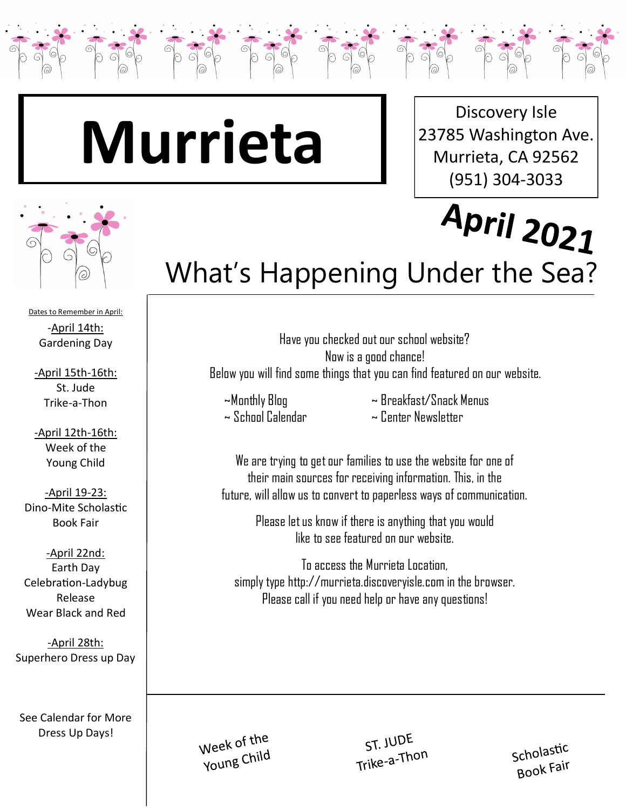

Discovery Isle 23785 Washington Ave. Murrieta, CA 92562 (951) 304-3033



Dates to Remember in April: -April 14th: Gardening Day

-April 15th-16th: St. Jude Trike-a-Thon

-April 12th-16th: Week of the Young Child

-April 19-23: Dino-Mite Scholastic Book Fair

-April 22nd: Earth Day Celebration-Ladybug Release Wear Black and Red

-April 28th: Superhero Dress up Day

See Calendar for More Dress Up Days!

## April 2021 What's Happening Under the Sea?

Have you checked out our school website? Now is a good chance! Below you will find some things that you can find featured on our website.

~ School Calendar ~ Center Newsletter

~Monthly Blog ~ Breakfast/Snack Menus

We are trying to get our families to use the website for one of their main sources for receiving information. This, in the future, will allow us to convert to paperless ways of communication.

> Please let us know if there is anything that you would like to see featured on our website.

To access the Murrieta Location, simply type http://murrieta.discoveryisle.com in the browser. Please call if you need help or have any questions!

Week of the Young Child

ST. JUDE Trike-a-Thon

Scholastic Book Fair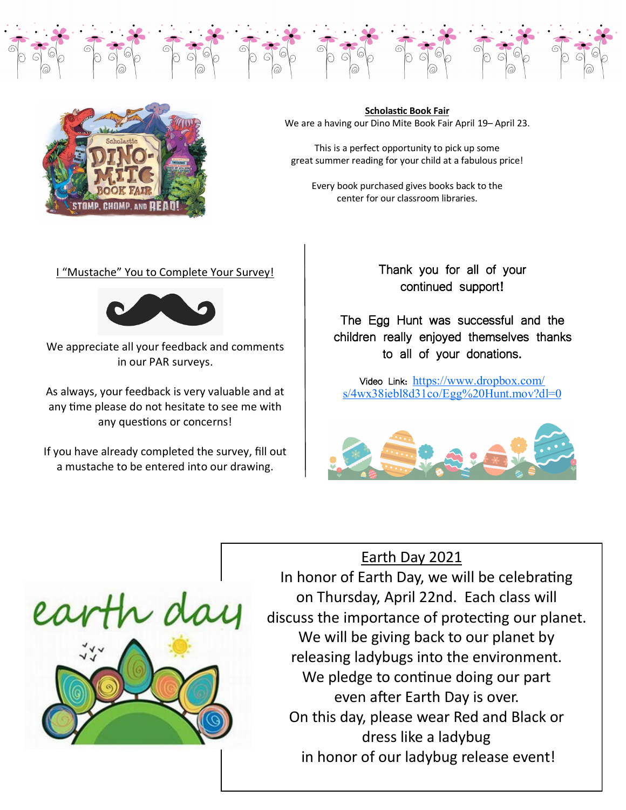

**Scholastic Book Fair** We are a having our Dino Mite Book Fair April 19– April 23.

Tag Tag Tag Tag Tag Tag Tag

This is a perfect opportunity to pick up some great summer reading for your child at a fabulous price!

Every book purchased gives books back to the center for our classroom libraries.

#### I "Mustache" You to Complete Your Survey!



We appreciate all your feedback and comments in our PAR surveys.

As always, your feedback is very valuable and at any time please do not hesitate to see me with any questions or concerns!

If you have already completed the survey, fill out a mustache to be entered into our drawing.

Thank you for all of your continued support!

 $\frac{1}{\sqrt{2}}$ 

The Egg Hunt was successful and the children really enjoyed themselves thanks to all of your donations.

Video Link: [https://www.dropbox.com/](https://www.dropbox.com/s/4wx38iebl8d31co/Egg%20Hunt.mov?dl=0)  $s/4wx38$ iebl $8d31co/Egg\%20H$ unt.mov?dl=0



### Earth Day 2021



In honor of Earth Day, we will be celebrating on Thursday, April 22nd. Each class will discuss the importance of protecting our planet. We will be giving back to our planet by releasing ladybugs into the environment. We pledge to continue doing our part even after Earth Day is over. On this day, please wear Red and Black or dress like a ladybug in honor of our ladybug release event!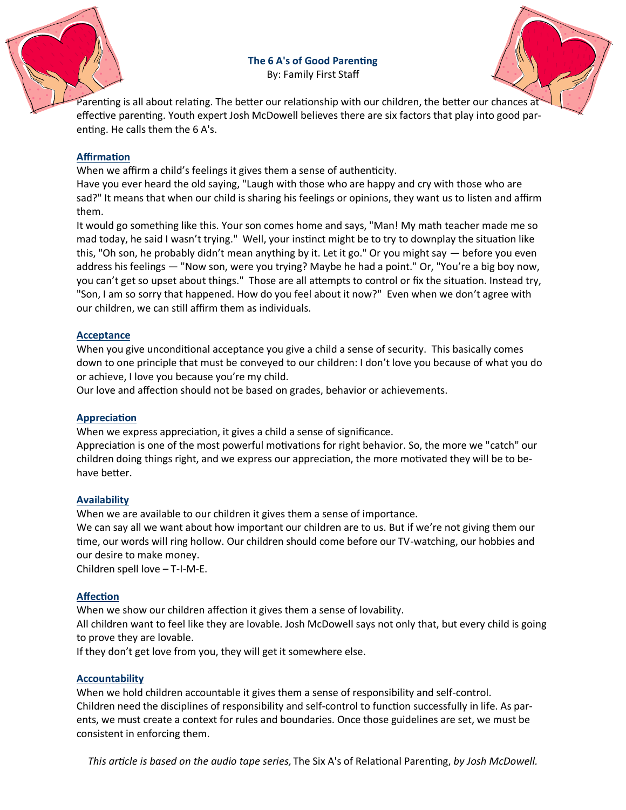**The 6 A's of Good Parenting** By: Family First Staff



Parenting is all about relating. The better our relationship with our children, the better our chances at effective parenting. Youth expert Josh McDowell believes there are six factors that play into good parenting. He calls them the 6 A's.

#### **Affirmation**

When we affirm a child's feelings it gives them a sense of authenticity.

Have you ever heard the old saying, "Laugh with those who are happy and cry with those who are sad?" It means that when our child is sharing his feelings or opinions, they want us to listen and affirm them.

It would go something like this. Your son comes home and says, "Man! My math teacher made me so mad today, he said I wasn't trying." Well, your instinct might be to try to downplay the situation like this, "Oh son, he probably didn't mean anything by it. Let it go." Or you might say — before you even address his feelings — "Now son, were you trying? Maybe he had a point." Or, "You're a big boy now, you can't get so upset about things." Those are all attempts to control or fix the situation. Instead try, "Son, I am so sorry that happened. How do you feel about it now?" Even when we don't agree with our children, we can still affirm them as individuals.

#### **Acceptance**

When you give unconditional acceptance you give a child a sense of security. This basically comes down to one principle that must be conveyed to our children: I don't love you because of what you do or achieve, I love you because you're my child.

Our love and affection should not be based on grades, behavior or achievements.

#### **Appreciation**

When we express appreciation, it gives a child a sense of significance.

Appreciation is one of the most powerful motivations for right behavior. So, the more we "catch" our children doing things right, and we express our appreciation, the more motivated they will be to behave better.

#### **Availability**

When we are available to our children it gives them a sense of importance.

We can say all we want about how important our children are to us. But if we're not giving them our time, our words will ring hollow. Our children should come before our TV-watching, our hobbies and our desire to make money.

Children spell love – T-I-M-E.

#### **Affection**

When we show our children affection it gives them a sense of lovability.

All children want to feel like they are lovable. Josh McDowell says not only that, but every child is going to prove they are lovable.

If they don't get love from you, they will get it somewhere else.

#### **Accountability**

When we hold children accountable it gives them a sense of responsibility and self-control. Children need the disciplines of responsibility and self-control to function successfully in life. As parents, we must create a context for rules and boundaries. Once those guidelines are set, we must be consistent in enforcing them.

*This article is based on the audio tape series,* The Six A's of Relational Parenting, *by Josh McDowell.*